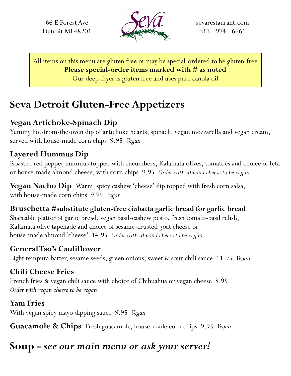66 E Forest Ave Detroit MI 48201



sevarestaurant.com  $313 \cdot 974 \cdot 6661$ 

All items on this menu are gluten free or may be special-ordered to be gluten-free **Please special-order items marked with # as noted** Our deep-fryer is gluten free and uses pure canola oil

# **Seva Detroit Gluten-Free Appetizers**

#### **Vegan Artichoke-Spinach Dip**

Yummy hot-from-the-oven dip of artichoke hearts, spinach, vegan mozzarella and vegan cream, served with house-made corn chips 9.95 *Vegan*

#### **Layered Hummus Dip**

Roasted red pepper hummus topped with cucumbers, Kalamata olives, tomatoes and choice of feta or house-made almond cheese, with corn chips 9.95 *Order with almond cheese to be vegan*

**Vegan Nacho Dip** Warm, spicy cashew 'cheese' dip topped with fresh corn salsa, with house-made corn chips 9.95 *Vegan*

#### **Bruschetta #substitute gluten-free ciabatta garlic bread for garlic bread** Shareable platter of garlic bread, vegan basil-cashew pesto, fresh tomato-basil relish, Kalamata olive tapenade and choice of sesame-crusted goat cheese or

house-made almond 'cheese' 14.95 *Order with almond cheese to be vegan*

#### **General Tso's Cauliflower**

Light tempura batter, sesame seeds, green onions, sweet & sour chili sauce 11.95 *Vegan*

#### **Chili Cheese Fries**

French fries & vegan chili sauce with choice of Chihuahua or vegan cheese 8.95 *Order with vegan cheese to be vegan*

#### **Yam Fries**

With vegan spicy mayo dipping sauce 9.95 *Vegan*

**Guacamole & Chips** Fresh guacamole, house-made corn chips 9.95 *Vegan*

## **Soup -** *see our main menu or ask your server!*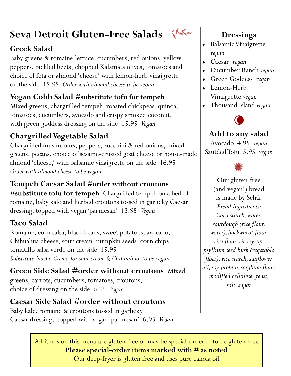# **Seva Detroit Gluten-Free Salads**

#### **Greek Salad**

Baby greens & romaine lettuce, cucumbers, red onions, yellow peppers, pickled beets, chopped Kalamata olives, tomatoes and choice of feta or almond 'cheese' with lemon-herb vinaigrette on the side 15.95 *Order with almond cheese to be vegan*

### **Vegan Cobb Salad #substitute tofu for tempeh**

Mixed greens, chargrilled tempeh, roasted chickpeas, quinoa, tomatoes, cucumbers, avocado and crispy smoked coconut, with green goddess dressing on the side 15.95 *Vegan*

### **ChargrilledVegetable Salad**

Chargrilled mushrooms, peppers, zucchini & red onions, mixed greens, pecans, choice of sesame-crusted goat cheese or house-made almond 'cheese,' with balsamic vinaigrette on the side 16.95 *Order with almond cheese to be vegan*

#### **Tempeh Caesar Salad #order without croutons**

**#substitute tofu for tempeh** Chargrilled tempeh on a bed of romaine, baby kale and herbed croutons tossed in garlicky Caesar dressing, topped with vegan 'parmesan' 13.95 *Vegan*

### **Taco Salad**

Romaine, corn salsa, black beans, sweet potatoes, avocado, Chihuahua cheese, sour cream, pumpkin seeds, corn chips, tomatillo salsa verde on the side 15.95 *Substitute Nacho Crema for sour cream & Chihuahua, to be vegan*

**Green Side Salad #order without croutons** Mixed greens, carrots, cucumbers, tomatoes, croutons, choice of dressing on the side 6.95 *Vegan*

#### **Caesar Side Salad #order without croutons**

Baby kale, romaine & croutons tossed in garlicky Caesar dressing, topped with vegan 'parmesan' 6.95 *Vegan*

the

#### **Dressings**

- Balsamic Vinaigrette *vegan*
- Caesar *vegan*
- Cucumber Ranch *vegan*
- Green Goddess *vegan*
- Lemon-Herb
	- Vinaigrette *vegan*
- Thousand Island *vegan*



### **Add to any salad**

Avocado 4.95 *vegan* Sautéed Tofu 5.95 *vegan*



Our gluten-free (and vegan!) bread is made by Schär *Bread Ingredients: Corn starch, water, sourdough (rice flour, water), buckwheat flour, rice flour, rice syrup, psyllium seed husk (vegetable fiber), rice starch, sunflower oil, soy protein, sorghum flour, modified cellulose, yeast, salt, sugar*

All items on this menu are gluten free or may be special-ordered to be gluten-free **Please special-order items marked with # as noted**

Our deep-fryer is gluten free and uses pure canola oil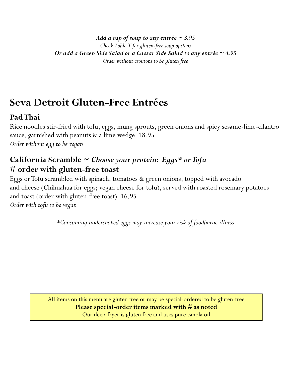*Add a cup of soup to any entrée ~ 3.95 Check Table T for gluten-free soup options Or add a Green Side Salad or a Caesar Side Salad to any entrée ~ 4.95 Order without croutons to be gluten free*

# **Seva Detroit Gluten-Free Entrées**

### **Pad Thai**

Rice noodles stir-fried with tofu, eggs, mung sprouts, green onions and spicy sesame-lime-cilantro sauce, garnished with peanuts & a lime wedge 18.95 *Order without egg to be vegan*

#### **California Scramble ~** *Choose your protein: Eggs\* or Tofu* **# order with gluten-free toast**

Eggs or Tofu scrambled with spinach, tomatoes & green onions, topped with avocado and cheese (Chihuahua for eggs; vegan cheese for tofu), served with roasted rosemary potatoes and toast (order with gluten-free toast) 16.95 *Order with tofu to be vegan*

*\*Consuming undercooked eggs may increase your risk of foodborne illness* 

All items on this menu are gluten free or may be special-ordered to be gluten-free **Please special-order items marked with # as noted** Our deep-fryer is gluten free and uses pure canola oil